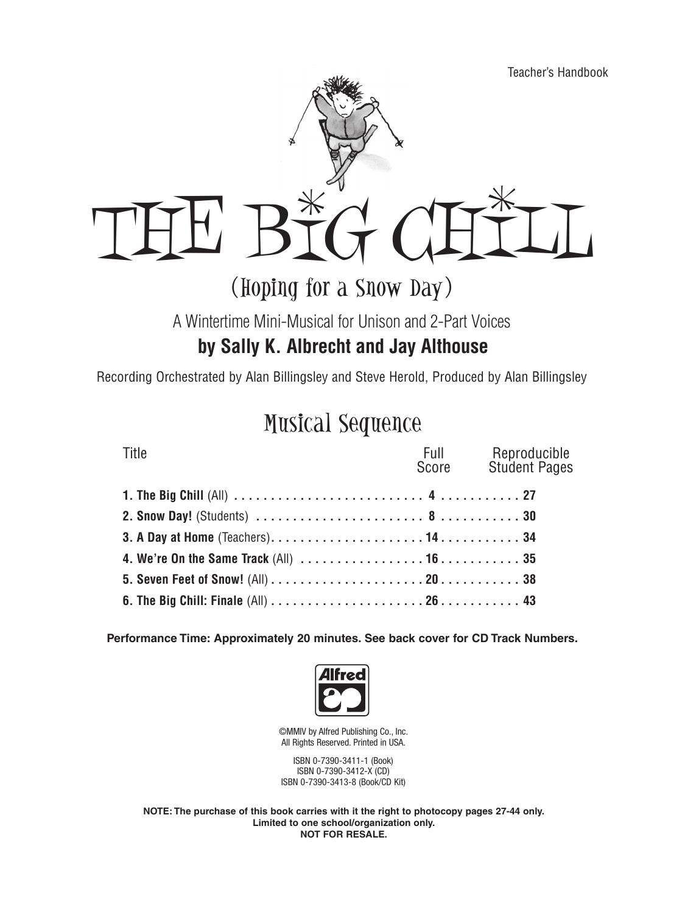

### (Hoping for a Snow Day)

A Wintertime Mini-Musical for Unison and 2-Part Voices

### **by Sally K. Albrecht and Jay Althouse**

Recording Orchestrated by Alan Billingsley and Steve Herold, Produced by Alan Billingsley

# Musical Sequence

| Title | Full Reproducible<br>Score Student Pages |
|-------|------------------------------------------|
|       |                                          |
|       |                                          |
|       |                                          |
|       |                                          |
|       |                                          |
|       |                                          |

**Performance Time: Approximately 20 minutes. See back cover for CD Track Numbers.**



©MMIV by Alfred Publishing Co., Inc. All Rights Reserved. Printed in USA.

ISBN 0-7390-3411-1 (Book) ISBN 0-7390-3412-X (CD) ISBN 0-7390-3413-8 (Book/CD Kit)

**NOTE: The purchase of this book carries with it the right to photocopy pages 27-44 only. Limited to one school/organization only. NOT FOR RESALE.**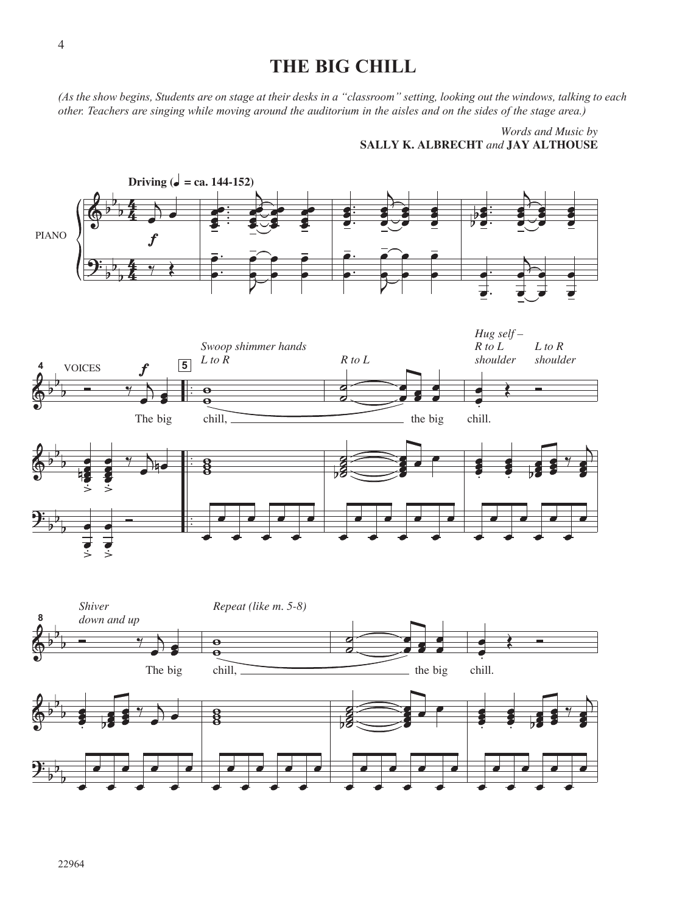### **THE BIG CHILL**

*(As the show begins, Students are on stage at their desks in a "classroom" setting, looking out the windows, talking to each* other. Teachers are singing while moving around the auditorium in the aisles and on the sides of the stage area.)

> **SALLY K. ALBRECHT** *and* **JAY ALTHOUSE** *Words and Music by*